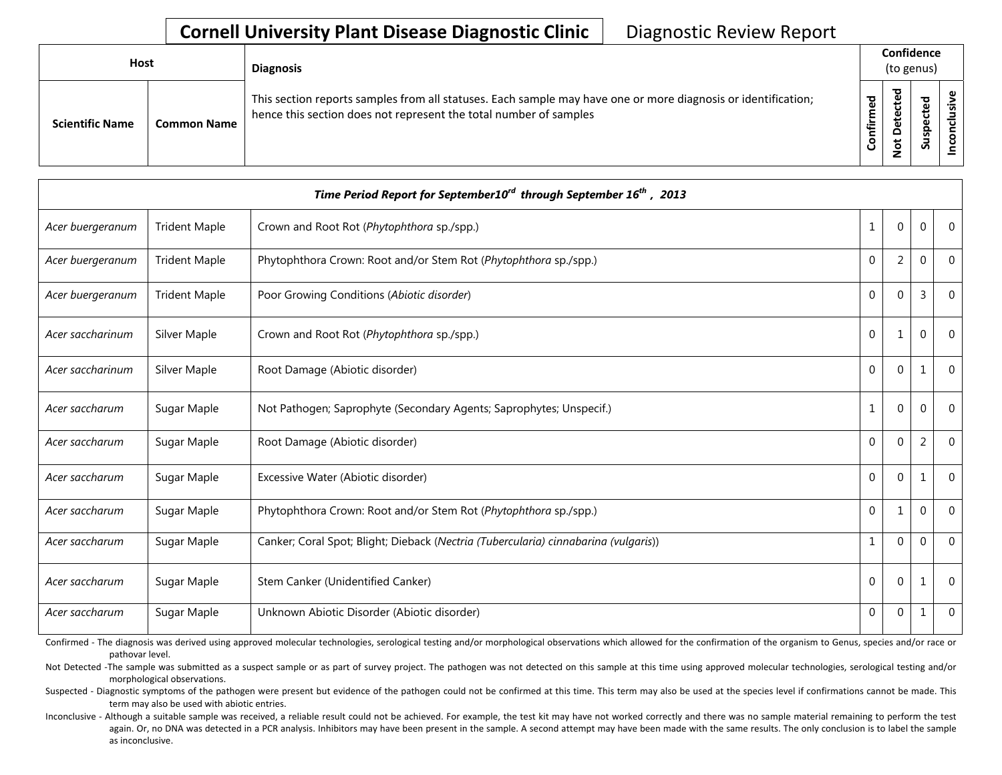| Host                   |                    | <b>Diagnosis</b>                                                                                                                                                                   |              | Confidence<br>(to genus) |         |        |  |  |  |
|------------------------|--------------------|------------------------------------------------------------------------------------------------------------------------------------------------------------------------------------|--------------|--------------------------|---------|--------|--|--|--|
| <b>Scientific Name</b> | <b>Common Name</b> | This section reports samples from all statuses. Each sample may have one or more diagnosis or identification;<br>hence this section does not represent the total number of samples | med<br>onfir | ठ<br>≏<br>t<br>۰         | ᇃ<br>వె | ω<br>s |  |  |  |

| Time Period Report for September10 $^{\prime\prime}$ through September 16 <sup>th</sup> , 2013 |                      |                                                                                     |              |              |                |              |  |  |
|------------------------------------------------------------------------------------------------|----------------------|-------------------------------------------------------------------------------------|--------------|--------------|----------------|--------------|--|--|
| Acer buergeranum                                                                               | <b>Trident Maple</b> | Crown and Root Rot (Phytophthora sp./spp.)                                          | $\mathbf{1}$ | $\mathbf{0}$ | $\mathbf 0$    | $\Omega$     |  |  |
| Acer buergeranum                                                                               | <b>Trident Maple</b> | Phytophthora Crown: Root and/or Stem Rot (Phytophthora sp./spp.)                    | $\mathbf 0$  | 2            | $\mathbf 0$    | $\Omega$     |  |  |
| Acer buergeranum                                                                               | <b>Trident Maple</b> | Poor Growing Conditions (Abiotic disorder)                                          | $\mathbf{0}$ | 0            | 3              | $\Omega$     |  |  |
| Acer saccharinum                                                                               | Silver Maple         | Crown and Root Rot (Phytophthora sp./spp.)                                          | $\Omega$     | 1            | $\theta$       | $\Omega$     |  |  |
| Acer saccharinum                                                                               | Silver Maple         | Root Damage (Abiotic disorder)                                                      | $\mathbf{0}$ | $\mathbf{0}$ | 1              | $\Omega$     |  |  |
| Acer saccharum                                                                                 | Sugar Maple          | Not Pathogen; Saprophyte (Secondary Agents; Saprophytes; Unspecif.)                 | $\mathbf{1}$ | $\mathbf{0}$ | $\Omega$       | $\Omega$     |  |  |
| Acer saccharum                                                                                 | Sugar Maple          | Root Damage (Abiotic disorder)                                                      | $\mathbf{0}$ | $\Omega$     | $\overline{2}$ | $\Omega$     |  |  |
| Acer saccharum                                                                                 | Sugar Maple          | Excessive Water (Abiotic disorder)                                                  | $\mathbf{0}$ | $\mathbf{0}$ | $\mathbf{1}$   | $\Omega$     |  |  |
| Acer saccharum                                                                                 | Sugar Maple          | Phytophthora Crown: Root and/or Stem Rot (Phytophthora sp./spp.)                    | $\mathbf 0$  | 1            | $\overline{0}$ | $\Omega$     |  |  |
| Acer saccharum                                                                                 | Sugar Maple          | Canker; Coral Spot; Blight; Dieback (Nectria (Tubercularia) cinnabarina (vulgaris)) | $\mathbf{1}$ | $\mathbf{0}$ | $\mathbf{0}$   | $\Omega$     |  |  |
| Acer saccharum                                                                                 | Sugar Maple          | Stem Canker (Unidentified Canker)                                                   | $\theta$     | $\Omega$     | $\mathbf{1}$   | $\Omega$     |  |  |
| Acer saccharum                                                                                 | Sugar Maple          | Unknown Abiotic Disorder (Abiotic disorder)                                         | $\mathbf 0$  | 0            | 1              | $\mathbf{0}$ |  |  |

Confirmed - The diagnosis was derived using approved molecular technologies, serological testing and/or morphological observations which allowed for the confirmation of the organism to Genus, species and/or race or pathovar level.

Not Detected -The sample was submitted as a suspect sample or as part of survey project. The pathogen was not detected on this sample at this time using approved molecular technologies, serological testing and/or morphological observations.

Suspected - Diagnostic symptoms of the pathogen were present but evidence of the pathogen could not be confirmed at this time. This term may also be used at the species level if confirmations cannot be made. This term may also be used with abiotic entries.

Inconclusive - Although a suitable sample was received, a reliable result could not be achieved. For example, the test kit may have not worked correctly and there was no sample material remaining to perform the test again. Or, no DNA was detected in a PCR analysis. Inhibitors may have been present in the sample. A second attempt may have been made with the same results. The only conclusion is to label the sample as inconclusive.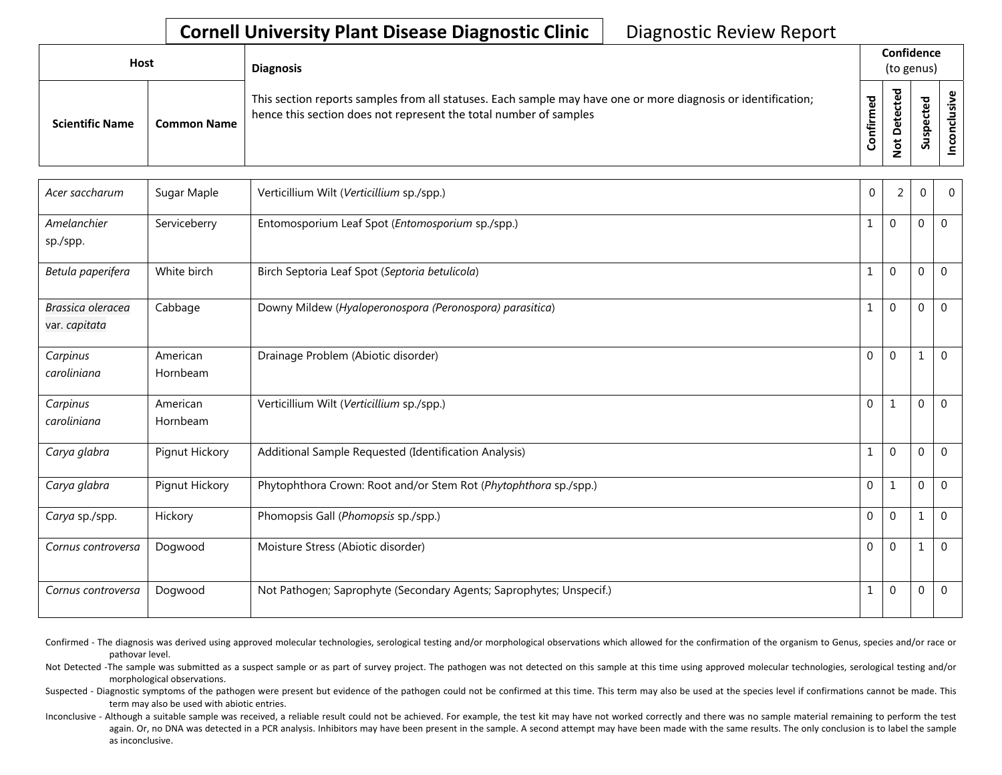| Host                   |                    | <b>Diagnosis</b>                                                                                                                                                                   |           | Confidence<br>(to genus) |        |         |  |  |
|------------------------|--------------------|------------------------------------------------------------------------------------------------------------------------------------------------------------------------------------|-----------|--------------------------|--------|---------|--|--|
| <b>Scientific Name</b> | <b>Common Name</b> | This section reports samples from all statuses. Each sample may have one or more diagnosis or identification;<br>hence this section does not represent the total number of samples | Confirmed | ठ<br>₽.                  | 요<br>S | $\cdot$ |  |  |

| Acer saccharum                     | Sugar Maple          | Verticillium Wilt (Verticillium sp./spp.)                           | $\mathbf 0$  | 2           | $\Omega$ | $\Omega$         |
|------------------------------------|----------------------|---------------------------------------------------------------------|--------------|-------------|----------|------------------|
| Amelanchier<br>sp./spp.            | Serviceberry         | Entomosporium Leaf Spot (Entomosporium sp./spp.)                    | $\mathbf{1}$ | $\mathbf 0$ | 0        | $\mathbf 0$      |
| Betula paperifera                  | White birch          | Birch Septoria Leaf Spot (Septoria betulicola)                      | $\mathbf{1}$ | $\mathbf 0$ | $\Omega$ | $\mathbf{0}$     |
| Brassica oleracea<br>var. capitata | Cabbage              | Downy Mildew (Hyaloperonospora (Peronospora) parasitica)            | $\mathbf{1}$ | $\mathbf 0$ | $\Omega$ | $\mathbf 0$      |
| Carpinus<br>caroliniana            | American<br>Hornbeam | Drainage Problem (Abiotic disorder)                                 | $\Omega$     | $\Omega$    | 1        | $\Omega$         |
| Carpinus<br>caroliniana            | American<br>Hornbeam | Verticillium Wilt (Verticillium sp./spp.)                           | $\mathbf 0$  | 1           | 0        | $\Omega$         |
| Carya glabra                       | Pignut Hickory       | Additional Sample Requested (Identification Analysis)               | 1            | $\Omega$    | $\Omega$ | $\Omega$         |
| Carya glabra                       | Pignut Hickory       | Phytophthora Crown: Root and/or Stem Rot (Phytophthora sp./spp.)    | $\mathbf 0$  | 1           | $\Omega$ | $\mathbf{0}$     |
| Carya sp./spp.                     | Hickory              | Phomopsis Gall (Phomopsis sp./spp.)                                 | $\mathbf 0$  | $\mathbf 0$ | 1        | $\boldsymbol{0}$ |
| Cornus controversa                 | Dogwood              | Moisture Stress (Abiotic disorder)                                  | $\mathbf{0}$ | $\Omega$    | 1        | $\mathbf 0$      |
| Cornus controversa                 | Dogwood              | Not Pathogen; Saprophyte (Secondary Agents; Saprophytes; Unspecif.) | 1            | $\mathbf 0$ | $\Omega$ | $\mathbf{0}$     |

Confirmed - The diagnosis was derived using approved molecular technologies, serological testing and/or morphological observations which allowed for the confirmation of the organism to Genus, species and/or race or pathovar level.

Not Detected -The sample was submitted as a suspect sample or as part of survey project. The pathogen was not detected on this sample at this time using approved molecular technologies, serological testing and/or morphological observations.

Suspected - Diagnostic symptoms of the pathogen were present but evidence of the pathogen could not be confirmed at this time. This term may also be used at the species level if confirmations cannot be made. This term may also be used with abiotic entries.

Inconclusive - Although a suitable sample was received, a reliable result could not be achieved. For example, the test kit may have not worked correctly and there was no sample material remaining to perform the test again. Or, no DNA was detected in a PCR analysis. Inhibitors may have been present in the sample. A second attempt may have been made with the same results. The only conclusion is to label the sample as inconclusive.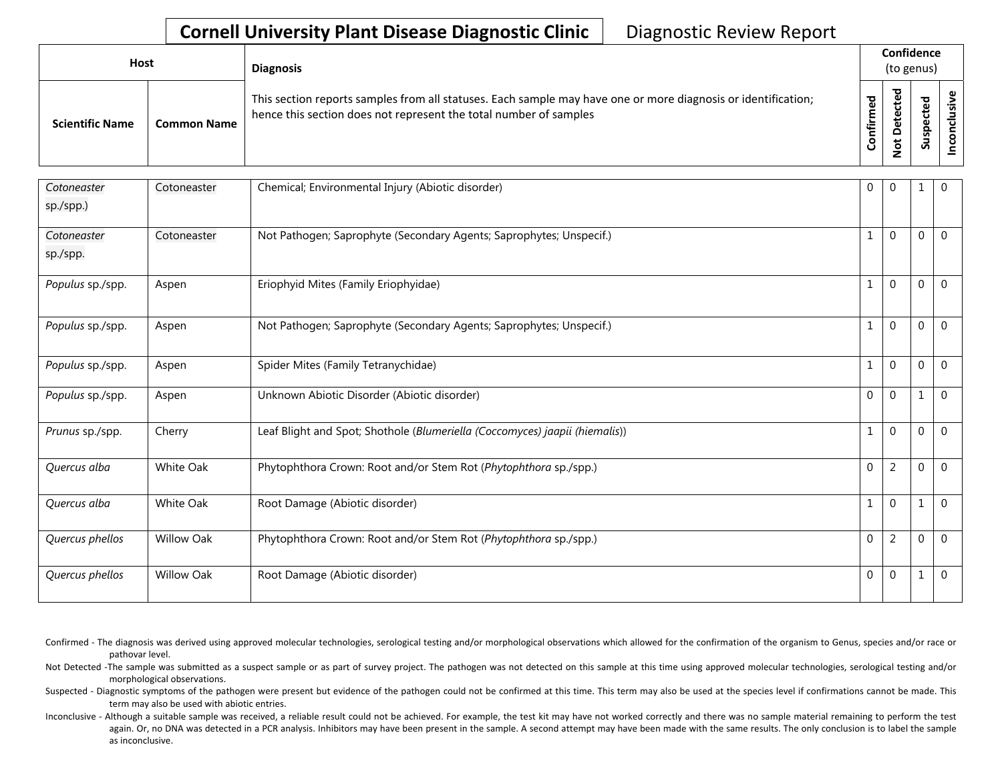| <b>Host</b>            |                    | <b>Diagnosis</b>                                                                                                                                                                   |         | Confidence<br>(to genus) |                          |   |  |  |
|------------------------|--------------------|------------------------------------------------------------------------------------------------------------------------------------------------------------------------------------|---------|--------------------------|--------------------------|---|--|--|
| <b>Scientific Name</b> | <b>Common Name</b> | This section reports samples from all statuses. Each sample may have one or more diagnosis or identification;<br>hence this section does not represent the total number of samples | ਠ<br>≐. | ᇃ<br>ى<br>ۅ              | ᠊ᠣ<br>ω<br>ω<br>င္တ<br>Ō | ൧ |  |  |

| Cotoneaster<br>sp./spp.) | Cotoneaster       | Chemical; Environmental Injury (Abiotic disorder)                           | $\mathbf 0$      | 0              | 1            | 0            |
|--------------------------|-------------------|-----------------------------------------------------------------------------|------------------|----------------|--------------|--------------|
| Cotoneaster<br>sp./spp.  | Cotoneaster       | Not Pathogen; Saprophyte (Secondary Agents; Saprophytes; Unspecif.)         | 1                | 0              | 0            | $\Omega$     |
| Populus sp./spp.         | Aspen             | Eriophyid Mites (Family Eriophyidae)                                        | 1                | 0              | $\mathbf 0$  | $\mathbf{0}$ |
| Populus sp./spp.         | Aspen             | Not Pathogen; Saprophyte (Secondary Agents; Saprophytes; Unspecif.)         | $\mathbf{1}$     | 0              | $\mathbf 0$  | $\Omega$     |
| Populus sp./spp.         | Aspen             | Spider Mites (Family Tetranychidae)                                         | $\mathbf{1}$     | 0              | 0            | $\Omega$     |
| Populus sp./spp.         | Aspen             | Unknown Abiotic Disorder (Abiotic disorder)                                 | $\mathbf{0}$     | 0              | 1            | $\mathbf{0}$ |
| Prunus sp./spp.          | Cherry            | Leaf Blight and Spot; Shothole (Blumeriella (Coccomyces) jaapii (hiemalis)) | $\mathbf{1}$     | 0              | $\mathbf 0$  | $\Omega$     |
| Quercus alba             | White Oak         | Phytophthora Crown: Root and/or Stem Rot (Phytophthora sp./spp.)            | $\boldsymbol{0}$ | $\overline{2}$ | 0            | $\Omega$     |
| Quercus alba             | White Oak         | Root Damage (Abiotic disorder)                                              | $\mathbf{1}$     | 0              | $\mathbf{1}$ | $\mathbf 0$  |
| Quercus phellos          | <b>Willow Oak</b> | Phytophthora Crown: Root and/or Stem Rot (Phytophthora sp./spp.)            | $\mathbf 0$      | $\overline{2}$ | $\mathbf{0}$ | $\Omega$     |
| Quercus phellos          | <b>Willow Oak</b> | Root Damage (Abiotic disorder)                                              | $\mathbf{0}$     | 0              | $\mathbf{1}$ | $\Omega$     |

- Confirmed The diagnosis was derived using approved molecular technologies, serological testing and/or morphological observations which allowed for the confirmation of the organism to Genus, species and/or race or pathovar level.
- Not Detected -The sample was submitted as a suspect sample or as part of survey project. The pathogen was not detected on this sample at this time using approved molecular technologies, serological testing and/or morphological observations.
- Suspected Diagnostic symptoms of the pathogen were present but evidence of the pathogen could not be confirmed at this time. This term may also be used at the species level if confirmations cannot be made. This term may also be used with abiotic entries.
- Inconclusive Although a suitable sample was received, a reliable result could not be achieved. For example, the test kit may have not worked correctly and there was no sample material remaining to perform the test again. Or, no DNA was detected in a PCR analysis. Inhibitors may have been present in the sample. A second attempt may have been made with the same results. The only conclusion is to label the sample as inconclusive.